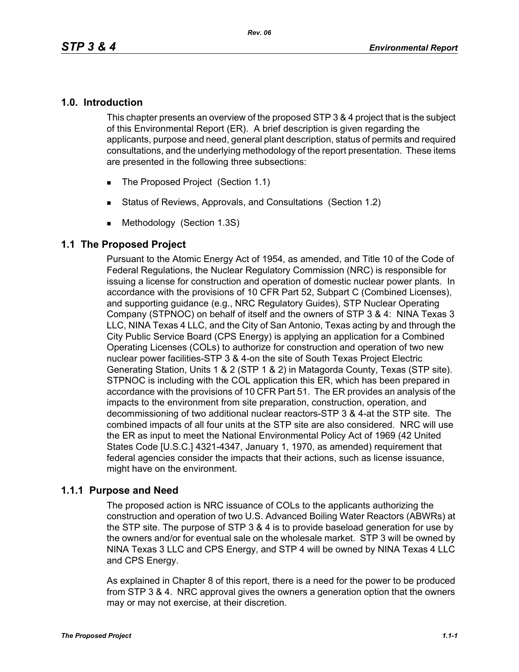### **1.0. Introduction**

This chapter presents an overview of the proposed STP 3 & 4 project that is the subject of this Environmental Report (ER). A brief description is given regarding the applicants, purpose and need, general plant description, status of permits and required consultations, and the underlying methodology of the report presentation. These items are presented in the following three subsections:

- The Proposed Project (Section 1.1)
- Status of Reviews, Approvals, and Consultations (Section 1.2)
- **Methodology (Section 1.3S)**

### **1.1 The Proposed Project**

Pursuant to the Atomic Energy Act of 1954, as amended, and Title 10 of the Code of Federal Regulations, the Nuclear Regulatory Commission (NRC) is responsible for issuing a license for construction and operation of domestic nuclear power plants. In accordance with the provisions of 10 CFR Part 52, Subpart C (Combined Licenses), and supporting guidance (e.g., NRC Regulatory Guides), STP Nuclear Operating Company (STPNOC) on behalf of itself and the owners of STP 3 & 4: NINA Texas 3 LLC, NINA Texas 4 LLC, and the City of San Antonio, Texas acting by and through the City Public Service Board (CPS Energy) is applying an application for a Combined Operating Licenses (COLs) to authorize for construction and operation of two new nuclear power facilities-STP 3 & 4-on the site of South Texas Project Electric Generating Station, Units 1 & 2 (STP 1 & 2) in Matagorda County, Texas (STP site). STPNOC is including with the COL application this ER, which has been prepared in accordance with the provisions of 10 CFR Part 51. The ER provides an analysis of the impacts to the environment from site preparation, construction, operation, and decommissioning of two additional nuclear reactors-STP 3 & 4-at the STP site. The combined impacts of all four units at the STP site are also considered. NRC will use the ER as input to meet the National Environmental Policy Act of 1969 (42 United States Code [U.S.C.] 4321-4347, January 1, 1970, as amended) requirement that federal agencies consider the impacts that their actions, such as license issuance, might have on the environment.

### **1.1.1 Purpose and Need**

The proposed action is NRC issuance of COLs to the applicants authorizing the construction and operation of two U.S. Advanced Boiling Water Reactors (ABWRs) at the STP site. The purpose of STP 3 & 4 is to provide baseload generation for use by the owners and/or for eventual sale on the wholesale market. STP 3 will be owned by NINA Texas 3 LLC and CPS Energy, and STP 4 will be owned by NINA Texas 4 LLC and CPS Energy.

As explained in Chapter 8 of this report, there is a need for the power to be produced from STP 3 & 4. NRC approval gives the owners a generation option that the owners may or may not exercise, at their discretion.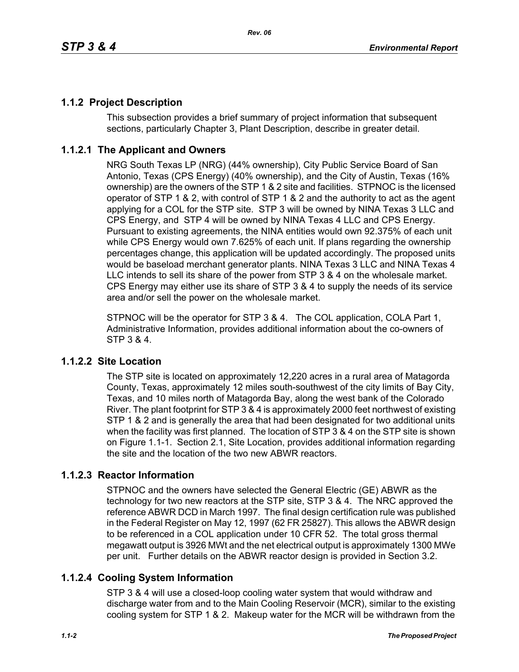# **1.1.2 Project Description**

This subsection provides a brief summary of project information that subsequent sections, particularly Chapter 3, Plant Description, describe in greater detail.

# **1.1.2.1 The Applicant and Owners**

NRG South Texas LP (NRG) (44% ownership), City Public Service Board of San Antonio, Texas (CPS Energy) (40% ownership), and the City of Austin, Texas (16% ownership) are the owners of the STP 1 & 2 site and facilities. STPNOC is the licensed operator of STP 1 & 2, with control of STP 1 & 2 and the authority to act as the agent applying for a COL for the STP site. STP 3 will be owned by NINA Texas 3 LLC and CPS Energy, and STP 4 will be owned by NINA Texas 4 LLC and CPS Energy. Pursuant to existing agreements, the NINA entities would own 92.375% of each unit while CPS Energy would own 7.625% of each unit. If plans regarding the ownership percentages change, this application will be updated accordingly. The proposed units would be baseload merchant generator plants. NINA Texas 3 LLC and NINA Texas 4 LLC intends to sell its share of the power from STP 3 & 4 on the wholesale market. CPS Energy may either use its share of STP 3 & 4 to supply the needs of its service area and/or sell the power on the wholesale market.

STPNOC will be the operator for STP 3 & 4. The COL application, COLA Part 1, Administrative Information, provides additional information about the co-owners of STP 3 & 4.

### **1.1.2.2 Site Location**

The STP site is located on approximately 12,220 acres in a rural area of Matagorda County, Texas, approximately 12 miles south-southwest of the city limits of Bay City, Texas, and 10 miles north of Matagorda Bay, along the west bank of the Colorado River. The plant footprint for STP 3 & 4 is approximately 2000 feet northwest of existing STP 1 & 2 and is generally the area that had been designated for two additional units when the facility was first planned. The location of STP 3 & 4 on the STP site is shown on Figure 1.1-1. Section 2.1, Site Location, provides additional information regarding the site and the location of the two new ABWR reactors.

### **1.1.2.3 Reactor Information**

STPNOC and the owners have selected the General Electric (GE) ABWR as the technology for two new reactors at the STP site, STP 3 & 4. The NRC approved the reference ABWR DCD in March 1997. The final design certification rule was published in the Federal Register on May 12, 1997 (62 FR 25827). This allows the ABWR design to be referenced in a COL application under 10 CFR 52. The total gross thermal megawatt output is 3926 MWt and the net electrical output is approximately 1300 MWe per unit. Further details on the ABWR reactor design is provided in Section 3.2.

### **1.1.2.4 Cooling System Information**

STP 3 & 4 will use a closed-loop cooling water system that would withdraw and discharge water from and to the Main Cooling Reservoir (MCR), similar to the existing cooling system for STP 1 & 2. Makeup water for the MCR will be withdrawn from the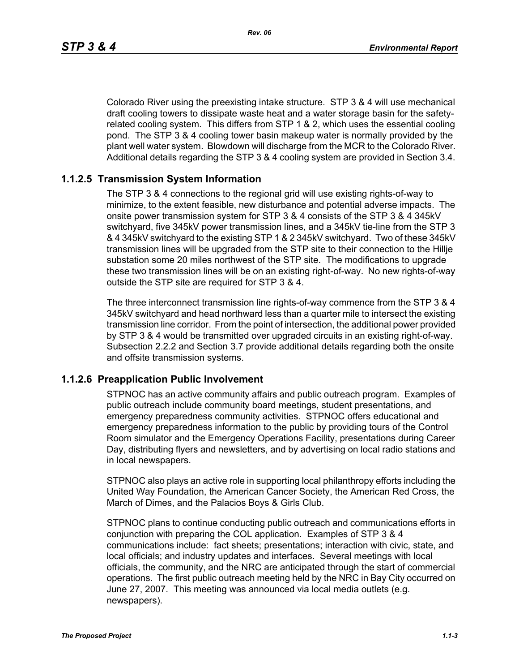*Rev. 06*

Colorado River using the preexisting intake structure. STP 3 & 4 will use mechanical draft cooling towers to dissipate waste heat and a water storage basin for the safetyrelated cooling system. This differs from STP 1 & 2, which uses the essential cooling pond. The STP 3 & 4 cooling tower basin makeup water is normally provided by the plant well water system. Blowdown will discharge from the MCR to the Colorado River. Additional details regarding the STP 3 & 4 cooling system are provided in Section 3.4.

# **1.1.2.5 Transmission System Information**

The STP 3 & 4 connections to the regional grid will use existing rights-of-way to minimize, to the extent feasible, new disturbance and potential adverse impacts. The onsite power transmission system for STP 3 & 4 consists of the STP 3 & 4 345kV switchyard, five 345kV power transmission lines, and a 345kV tie-line from the STP 3 & 4 345kV switchyard to the existing STP 1 & 2 345kV switchyard. Two of these 345kV transmission lines will be upgraded from the STP site to their connection to the Hillje substation some 20 miles northwest of the STP site. The modifications to upgrade these two transmission lines will be on an existing right-of-way. No new rights-of-way outside the STP site are required for STP 3 & 4.

The three interconnect transmission line rights-of-way commence from the STP 3 & 4 345kV switchyard and head northward less than a quarter mile to intersect the existing transmission line corridor. From the point of intersection, the additional power provided by STP 3 & 4 would be transmitted over upgraded circuits in an existing right-of-way. Subsection 2.2.2 and Section 3.7 provide additional details regarding both the onsite and offsite transmission systems.

### **1.1.2.6 Preapplication Public Involvement**

STPNOC has an active community affairs and public outreach program. Examples of public outreach include community board meetings, student presentations, and emergency preparedness community activities. STPNOC offers educational and emergency preparedness information to the public by providing tours of the Control Room simulator and the Emergency Operations Facility, presentations during Career Day, distributing flyers and newsletters, and by advertising on local radio stations and in local newspapers.

STPNOC also plays an active role in supporting local philanthropy efforts including the United Way Foundation, the American Cancer Society, the American Red Cross, the March of Dimes, and the Palacios Boys & Girls Club.

STPNOC plans to continue conducting public outreach and communications efforts in conjunction with preparing the COL application. Examples of STP 3 & 4 communications include: fact sheets; presentations; interaction with civic, state, and local officials; and industry updates and interfaces. Several meetings with local officials, the community, and the NRC are anticipated through the start of commercial operations. The first public outreach meeting held by the NRC in Bay City occurred on June 27, 2007. This meeting was announced via local media outlets (e.g. newspapers).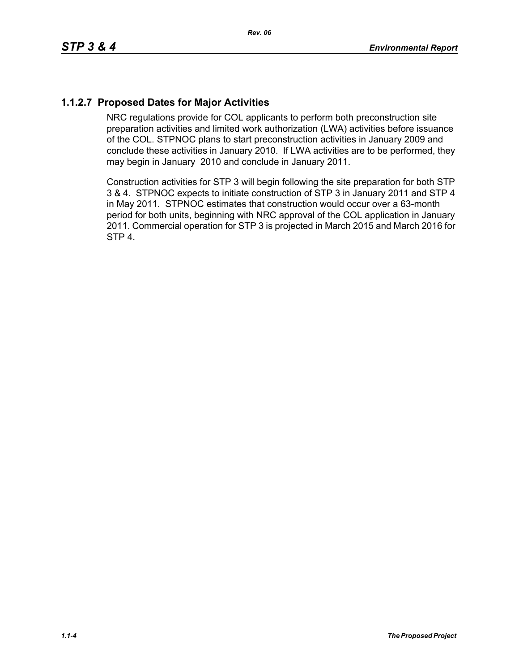# **1.1.2.7 Proposed Dates for Major Activities**

NRC regulations provide for COL applicants to perform both preconstruction site preparation activities and limited work authorization (LWA) activities before issuance of the COL. STPNOC plans to start preconstruction activities in January 2009 and conclude these activities in January 2010. If LWA activities are to be performed, they may begin in January 2010 and conclude in January 2011.

Construction activities for STP 3 will begin following the site preparation for both STP 3 & 4. STPNOC expects to initiate construction of STP 3 in January 2011 and STP 4 in May 2011. STPNOC estimates that construction would occur over a 63-month period for both units, beginning with NRC approval of the COL application in January 2011. Commercial operation for STP 3 is projected in March 2015 and March 2016 for STP 4.